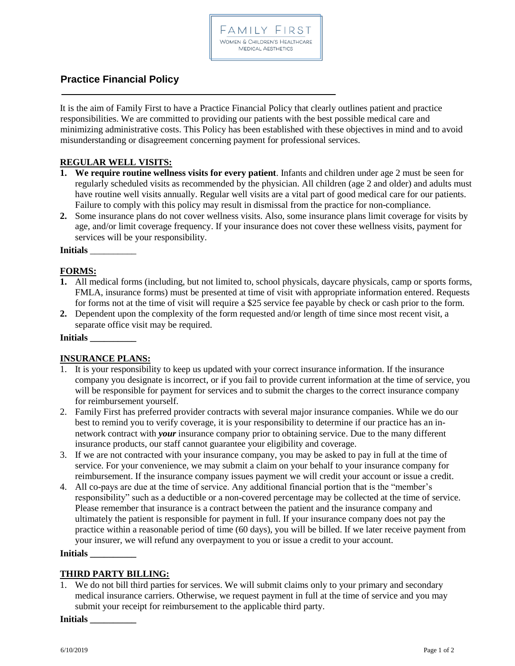

# **Practice Financial Policy**

It is the aim of Family First to have a Practice Financial Policy that clearly outlines patient and practice responsibilities. We are committed to providing our patients with the best possible medical care and minimizing administrative costs. This Policy has been established with these objectives in mind and to avoid misunderstanding or disagreement concerning payment for professional services.

# **REGULAR WELL VISITS:**

- **1. We require routine wellness visits for every patient**. Infants and children under age 2 must be seen for regularly scheduled visits as recommended by the physician. All children (age 2 and older) and adults must have routine well visits annually. Regular well visits are a vital part of good medical care for our patients. Failure to comply with this policy may result in dismissal from the practice for non-compliance.
- **2.** Some insurance plans do not cover wellness visits. Also, some insurance plans limit coverage for visits by age, and/or limit coverage frequency. If your insurance does not cover these wellness visits, payment for services will be your responsibility.

**Initials** \_\_\_\_\_\_\_\_\_\_

# **FORMS:**

- **1.** All medical forms (including, but not limited to, school physicals, daycare physicals, camp or sports forms, FMLA, insurance forms) must be presented at time of visit with appropriate information entered. Requests for forms not at the time of visit will require a \$25 service fee payable by check or cash prior to the form.
- **2.** Dependent upon the complexity of the form requested and/or length of time since most recent visit, a separate office visit may be required.

#### **Initials \_\_\_\_\_\_\_\_\_\_**

## **INSURANCE PLANS:**

- 1. It is your responsibility to keep us updated with your correct insurance information. If the insurance company you designate is incorrect, or if you fail to provide current information at the time of service, you will be responsible for payment for services and to submit the charges to the correct insurance company for reimbursement yourself.
- 2. Family First has preferred provider contracts with several major insurance companies. While we do our best to remind you to verify coverage, it is your responsibility to determine if our practice has an innetwork contract with *your* insurance company prior to obtaining service. Due to the many different insurance products, our staff cannot guarantee your eligibility and coverage.
- 3. If we are not contracted with your insurance company, you may be asked to pay in full at the time of service. For your convenience, we may submit a claim on your behalf to your insurance company for reimbursement. If the insurance company issues payment we will credit your account or issue a credit.
- 4. All co-pays are due at the time of service. Any additional financial portion that is the "member's responsibility" such as a deductible or a non-covered percentage may be collected at the time of service. Please remember that insurance is a contract between the patient and the insurance company and ultimately the patient is responsible for payment in full. If your insurance company does not pay the practice within a reasonable period of time (60 days), you will be billed. If we later receive payment from your insurer, we will refund any overpayment to you or issue a credit to your account.

#### **Initials \_\_\_\_\_\_\_\_\_\_**

## **THIRD PARTY BILLING:**

1. We do not bill third parties for services. We will submit claims only to your primary and secondary medical insurance carriers. Otherwise, we request payment in full at the time of service and you may submit your receipt for reimbursement to the applicable third party.

**Initials \_\_\_\_\_\_\_\_\_\_**